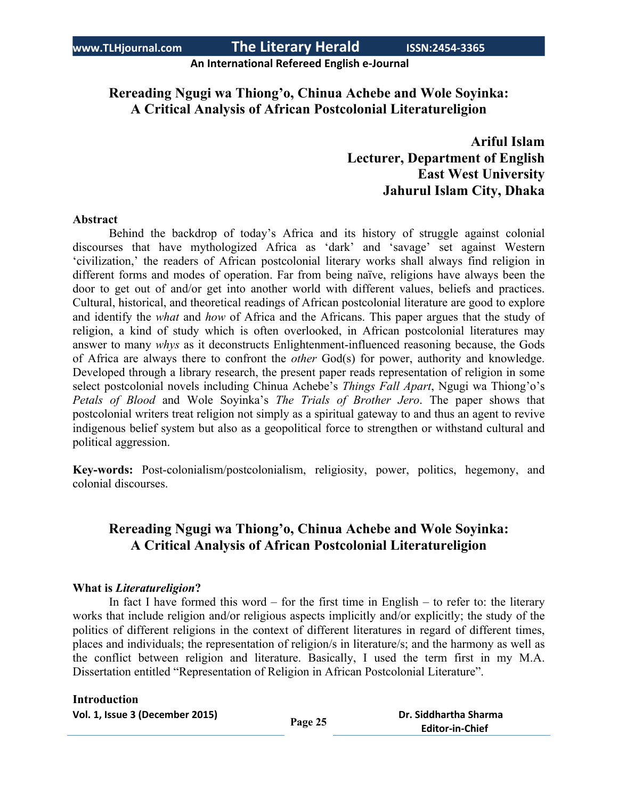**An International Refereed English e-Journal**

# **Rereading Ngugi wa Thiong'o, Chinua Achebe and Wole Soyinka: A Critical Analysis of African Postcolonial Literatureligion**

# **Ariful Islam Lecturer, Department of English East West University Jahurul Islam City, Dhaka**

### **Abstract**

Behind the backdrop of today's Africa and its history of struggle against colonial discourses that have mythologized Africa as 'dark' and 'savage' set against Western 'civilization,' the readers of African postcolonial literary works shall always find religion in different forms and modes of operation. Far from being naïve, religions have always been the door to get out of and/or get into another world with different values, beliefs and practices. Cultural, historical, and theoretical readings of African postcolonial literature are good to explore and identify the *what* and *how* of Africa and the Africans. This paper argues that the study of religion, a kind of study which is often overlooked, in African postcolonial literatures may answer to many *whys* as it deconstructs Enlightenment-influenced reasoning because, the Gods of Africa are always there to confront the *other* God(s) for power, authority and knowledge. Developed through a library research, the present paper reads representation of religion in some select postcolonial novels including Chinua Achebe's *Things Fall Apart*, Ngugi wa Thiong'o's *Petals of Blood* and Wole Soyinka's *The Trials of Brother Jero*. The paper shows that postcolonial writers treat religion not simply as a spiritual gateway to and thus an agent to revive indigenous belief system but also as a geopolitical force to strengthen or withstand cultural and political aggression.

**Key-words:** Post-colonialism/postcolonialism, religiosity, power, politics, hegemony, and colonial discourses.

# **Rereading Ngugi wa Thiong'o, Chinua Achebe and Wole Soyinka: A Critical Analysis of African Postcolonial Literatureligion**

### **What is** *Literatureligion***?**

In fact I have formed this word – for the first time in English – to refer to: the literary works that include religion and/or religious aspects implicitly and/or explicitly; the study of the politics of different religions in the context of different literatures in regard of different times, places and individuals; the representation of religion/s in literature/s; and the harmony as well as the conflict between religion and literature. Basically, I used the term first in my M.A. Dissertation entitled "Representation of Religion in African Postcolonial Literature".

### **Introduction**

| Vol. 1, Issue 3 (December 2015) | Page 25 | Dr. Siddhartha Sharma  |
|---------------------------------|---------|------------------------|
|                                 |         | <b>Editor-in-Chief</b> |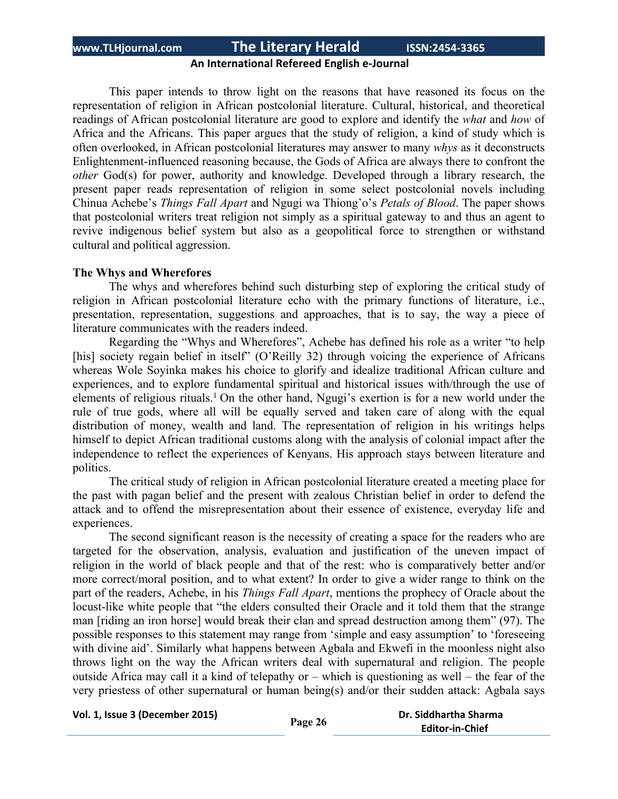### **An International Refereed English e-Journal**

This paper intends to throw light on the reasons that have reasoned its focus on the representation of religion in African postcolonial literature. Cultural, historical, and theoretical readings of African postcolonial literature are good to explore and identify the *what* and *how* of Africa and the Africans. This paper argues that the study of religion, a kind of study which is often overlooked, in African postcolonial literatures may answer to many *whys* as it deconstructs Enlightenment-influenced reasoning because, the Gods of Africa are always there to confront the *other* God(s) for power, authority and knowledge. Developed through a library research, the present paper reads representation of religion in some select postcolonial novels including Chinua Achebe's *Things Fall Apart* and Ngugi wa Thiong'o's *Petals of Blood*. The paper shows that postcolonial writers treat religion not simply as a spiritual gateway to and thus an agent to revive indigenous belief system but also as a geopolitical force to strengthen or withstand cultural and political aggression.

### **The Whys and Wherefores**

The whys and wherefores behind such disturbing step of exploring the critical study of religion in African postcolonial literature echo with the primary functions of literature, i.e., presentation, representation, suggestions and approaches, that is to say, the way a piece of literature communicates with the readers indeed.

Regarding the "Whys and Wherefores", Achebe has defined his role as a writer "to help [his] society regain belief in itself" (O'Reilly 32) through voicing the experience of Africans whereas Wole Soyinka makes his choice to glorify and idealize traditional African culture and experiences, and to explore fundamental spiritual and historical issues with/through the use of elements of religious rituals.<sup>1</sup> On the other hand, Ngugi's exertion is for a new world under the rule of true gods, where all will be equally served and taken care of along with the equal distribution of money, wealth and land. The representation of religion in his writings helps himself to depict African traditional customs along with the analysis of colonial impact after the independence to reflect the experiences of Kenyans. His approach stays between literature and politics.

The critical study of religion in African postcolonial literature created a meeting place for the past with pagan belief and the present with zealous Christian belief in order to defend the attack and to offend the misrepresentation about their essence of existence, everyday life and experiences.

The second significant reason is the necessity of creating a space for the readers who are targeted for the observation, analysis, evaluation and justification of the uneven impact of religion in the world of black people and that of the rest: who is comparatively better and/or more correct/moral position, and to what extent? In order to give a wider range to think on the part of the readers, Achebe, in his *Things Fall Apart*, mentions the prophecy of Oracle about the locust-like white people that "the elders consulted their Oracle and it told them that the strange man [riding an iron horse] would break their clan and spread destruction among them" (97). The possible responses to this statement may range from 'simple and easy assumption' to 'foreseeing with divine aid'. Similarly what happens between Agbala and Ekwefi in the moonless night also throws light on the way the African writers deal with supernatural and religion. The people outside Africa may call it a kind of telepathy or – which is questioning as well – the fear of the very priestess of other supernatural or human being(s) and/or their sudden attack: Agbala says

**Vol. 1, Issue <sup>3</sup> (December 2015) Page <sup>26</sup> Dr. Siddhartha Sharma**

**Editor-in-Chief**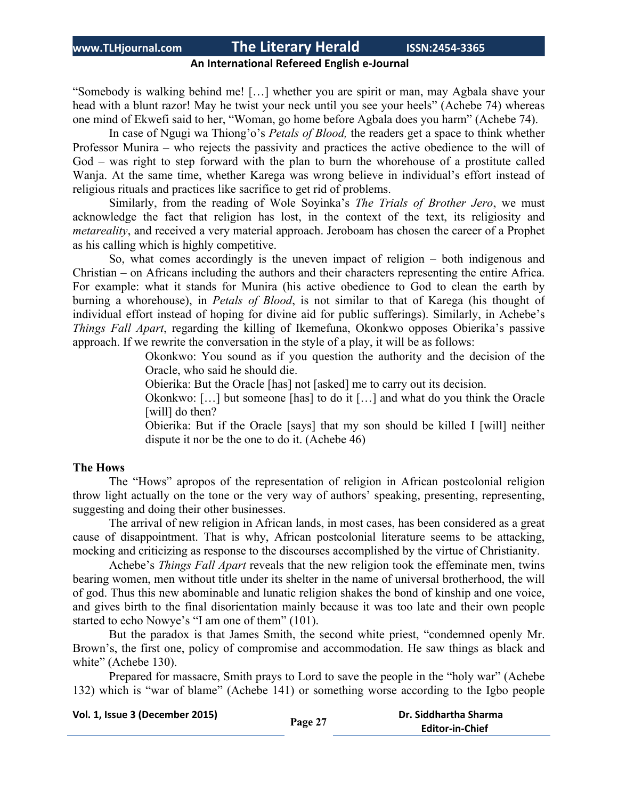### **An International Refereed English e-Journal**

"Somebody is walking behind me! […] whether you are spirit or man, may Agbala shave your head with a blunt razor! May he twist your neck until you see your heels" (Achebe 74) whereas one mind of Ekwefi said to her, "Woman, go home before Agbala does you harm" (Achebe 74).

In case of Ngugi wa Thiong'o's *Petals of Blood,* the readers get a space to think whether Professor Munira – who rejects the passivity and practices the active obedience to the will of God – was right to step forward with the plan to burn the whorehouse of a prostitute called Wanja. At the same time, whether Karega was wrong believe in individual's effort instead of religious rituals and practices like sacrifice to get rid of problems.

Similarly, from the reading of Wole Soyinka's *The Trials of Brother Jero*, we must acknowledge the fact that religion has lost, in the context of the text, its religiosity and *metareality*, and received a very material approach. Jeroboam has chosen the career of a Prophet as his calling which is highly competitive.

So, what comes accordingly is the uneven impact of religion – both indigenous and Christian – on Africans including the authors and their characters representing the entire Africa. For example: what it stands for Munira (his active obedience to God to clean the earth by burning a whorehouse), in *Petals of Blood*, is not similar to that of Karega (his thought of individual effort instead of hoping for divine aid for public sufferings). Similarly, in Achebe's *Things Fall Apart*, regarding the killing of Ikemefuna, Okonkwo opposes Obierika's passive approach. If we rewrite the conversation in the style of a play, it will be as follows:

> Okonkwo: You sound as if you question the authority and the decision of the Oracle, who said he should die.

Obierika: But the Oracle [has] not [asked] me to carry out its decision.

Okonkwo: […] but someone [has] to do it […] and what do you think the Oracle [will] do then?

Obierika: But if the Oracle [says] that my son should be killed I [will] neither dispute it nor be the one to do it. (Achebe 46)

### **The Hows**

The "Hows" apropos of the representation of religion in African postcolonial religion throw light actually on the tone or the very way of authors' speaking, presenting, representing, suggesting and doing their other businesses.

The arrival of new religion in African lands, in most cases, has been considered as a great cause of disappointment. That is why, African postcolonial literature seems to be attacking, mocking and criticizing as response to the discourses accomplished by the virtue of Christianity.

Achebe's *Things Fall Apart* reveals that the new religion took the effeminate men, twins bearing women, men without title under its shelter in the name of universal brotherhood, the will of god. Thus this new abominable and lunatic religion shakes the bond of kinship and one voice, and gives birth to the final disorientation mainly because it was too late and their own people started to echo Nowye's "I am one of them" (101).

But the paradox is that James Smith, the second white priest, "condemned openly Mr. Brown's, the first one, policy of compromise and accommodation. He saw things as black and white" (Achebe 130).

Prepared for massacre, Smith prays to Lord to save the people in the "holy war" (Achebe 132) which is "war of blame" (Achebe 141) or something worse according to the Igbo people

**Vol. 1, Issue <sup>3</sup> (December 2015) Page <sup>27</sup> Dr. Siddhartha Sharma**

**Editor-in-Chief**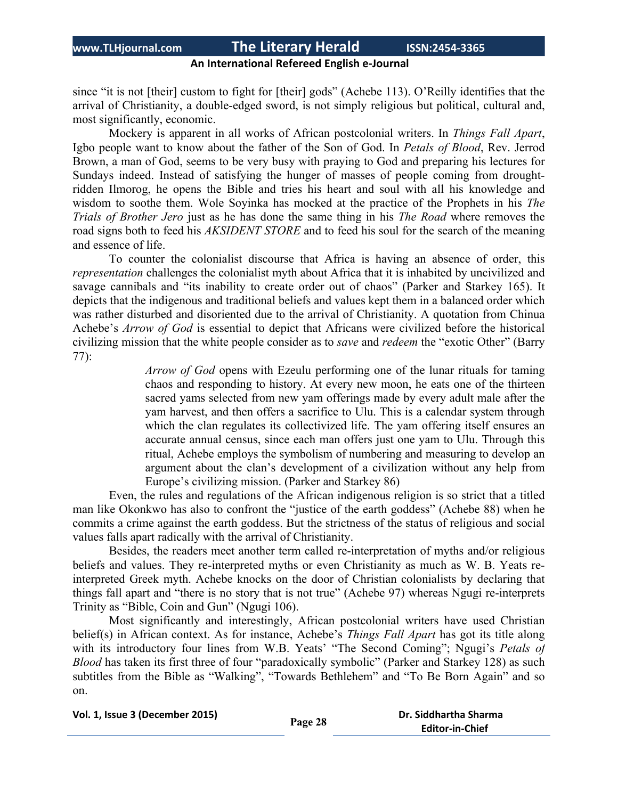### **An International Refereed English e-Journal**

since "it is not [their] custom to fight for [their] gods" (Achebe 113). O'Reilly identifies that the arrival of Christianity, a double-edged sword, is not simply religious but political, cultural and, most significantly, economic.

Mockery is apparent in all works of African postcolonial writers. In *Things Fall Apart*, Igbo people want to know about the father of the Son of God. In *Petals of Blood*, Rev. Jerrod Brown, a man of God, seems to be very busy with praying to God and preparing his lectures for Sundays indeed. Instead of satisfying the hunger of masses of people coming from droughtridden Ilmorog, he opens the Bible and tries his heart and soul with all his knowledge and wisdom to soothe them. Wole Soyinka has mocked at the practice of the Prophets in his *The Trials of Brother Jero* just as he has done the same thing in his *The Road* where removes the road signs both to feed his *AKSIDENT STORE* and to feed his soul for the search of the meaning and essence of life.

To counter the colonialist discourse that Africa is having an absence of order, this *representation* challenges the colonialist myth about Africa that it is inhabited by uncivilized and savage cannibals and "its inability to create order out of chaos" (Parker and Starkey 165). It depicts that the indigenous and traditional beliefs and values kept them in a balanced order which was rather disturbed and disoriented due to the arrival of Christianity. A quotation from Chinua Achebe's *Arrow of God* is essential to depict that Africans were civilized before the historical civilizing mission that the white people consider as to *save* and *redeem* the "exotic Other" (Barry 77):

> *Arrow of God* opens with Ezeulu performing one of the lunar rituals for taming chaos and responding to history. At every new moon, he eats one of the thirteen sacred yams selected from new yam offerings made by every adult male after the yam harvest, and then offers a sacrifice to Ulu. This is a calendar system through which the clan regulates its collectivized life. The yam offering itself ensures an accurate annual census, since each man offers just one yam to Ulu. Through this ritual, Achebe employs the symbolism of numbering and measuring to develop an argument about the clan's development of a civilization without any help from Europe's civilizing mission. (Parker and Starkey 86)

Even, the rules and regulations of the African indigenous religion is so strict that a titled man like Okonkwo has also to confront the "justice of the earth goddess" (Achebe 88) when he commits a crime against the earth goddess. But the strictness of the status of religious and social values falls apart radically with the arrival of Christianity.

Besides, the readers meet another term called re-interpretation of myths and/or religious beliefs and values. They re-interpreted myths or even Christianity as much as W. B. Yeats reinterpreted Greek myth. Achebe knocks on the door of Christian colonialists by declaring that things fall apart and "there is no story that is not true" (Achebe 97) whereas Ngugi re-interprets Trinity as "Bible, Coin and Gun" (Ngugi 106).

Most significantly and interestingly, African postcolonial writers have used Christian belief(s) in African context. As for instance, Achebe's *Things Fall Apart* has got its title along with its introductory four lines from W.B. Yeats' "The Second Coming"; Ngugi's *Petals of Blood* has taken its first three of four "paradoxically symbolic" (Parker and Starkey 128) as such subtitles from the Bible as "Walking", "Towards Bethlehem" and "To Be Born Again" and so on.

|  | Vol. 1, Issue 3 (December 2015) |
|--|---------------------------------|
|--|---------------------------------|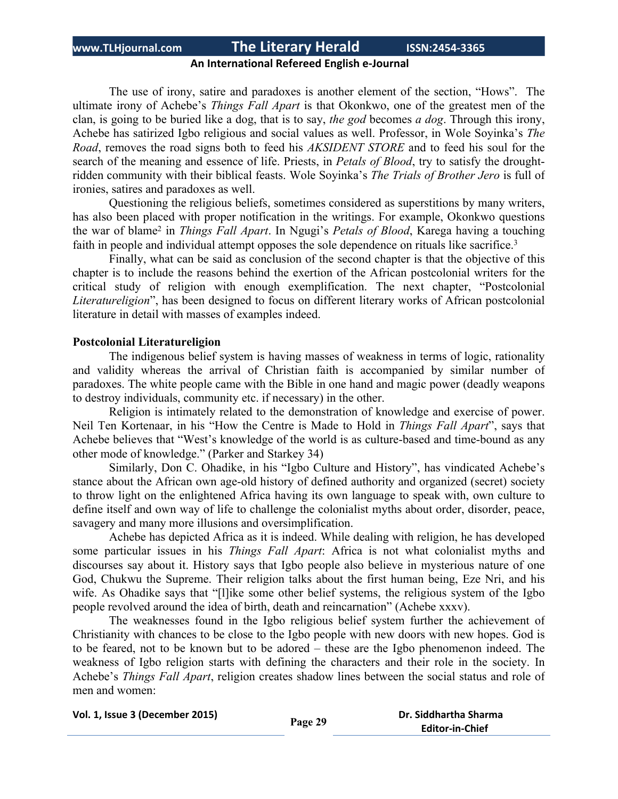### **An International Refereed English e-Journal**

The use of irony, satire and paradoxes is another element of the section, "Hows". The ultimate irony of Achebe's *Things Fall Apart* is that Okonkwo, one of the greatest men of the clan, is going to be buried like a dog, that is to say, *the god* becomes *a dog*. Through this irony, Achebe has satirized Igbo religious and social values as well. Professor, in Wole Soyinka's *The Road*, removes the road signs both to feed his *AKSIDENT STORE* and to feed his soul for the search of the meaning and essence of life. Priests, in *Petals of Blood*, try to satisfy the droughtridden community with their biblical feasts. Wole Soyinka's *The Trials of Brother Jero* is full of ironies, satires and paradoxes as well.

Questioning the religious beliefs, sometimes considered as superstitions by many writers, has also been placed with proper notification in the writings. For example, Okonkwo questions the war of blame<sup>2</sup> in *Things Fall Apart*. In Ngugi's *Petals of Blood*, Karega having a touching faith in people and individual attempt opposes the sole dependence on rituals like sacrifice.<sup>3</sup>

Finally, what can be said as conclusion of the second chapter is that the objective of this chapter is to include the reasons behind the exertion of the African postcolonial writers for the critical study of religion with enough exemplification. The next chapter, "Postcolonial *Literatureligion*", has been designed to focus on different literary works of African postcolonial literature in detail with masses of examples indeed.

### **Postcolonial Literatureligion**

The indigenous belief system is having masses of weakness in terms of logic, rationality and validity whereas the arrival of Christian faith is accompanied by similar number of paradoxes. The white people came with the Bible in one hand and magic power (deadly weapons to destroy individuals, community etc. if necessary) in the other.

Religion is intimately related to the demonstration of knowledge and exercise of power. Neil Ten Kortenaar, in his "How the Centre is Made to Hold in *Things Fall Apart*", says that Achebe believes that "West's knowledge of the world is as culture-based and time-bound as any other mode of knowledge." (Parker and Starkey 34)

Similarly, Don C. Ohadike, in his "Igbo Culture and History", has vindicated Achebe's stance about the African own age-old history of defined authority and organized (secret) society to throw light on the enlightened Africa having its own language to speak with, own culture to define itself and own way of life to challenge the colonialist myths about order, disorder, peace, savagery and many more illusions and oversimplification.

Achebe has depicted Africa as it is indeed. While dealing with religion, he has developed some particular issues in his *Things Fall Apart*: Africa is not what colonialist myths and discourses say about it. History says that Igbo people also believe in mysterious nature of one God, Chukwu the Supreme. Their religion talks about the first human being, Eze Nri, and his wife. As Ohadike says that "[l]ike some other belief systems, the religious system of the Igbo people revolved around the idea of birth, death and reincarnation" (Achebe xxxv).

The weaknesses found in the Igbo religious belief system further the achievement of Christianity with chances to be close to the Igbo people with new doors with new hopes. God is to be feared, not to be known but to be adored – these are the Igbo phenomenon indeed. The weakness of Igbo religion starts with defining the characters and their role in the society. In Achebe's *Things Fall Apart*, religion creates shadow lines between the social status and role of men and women:

```
Vol. 1, Issue 3 (December 2015) Page 29 Dr. Siddhartha Sharma
```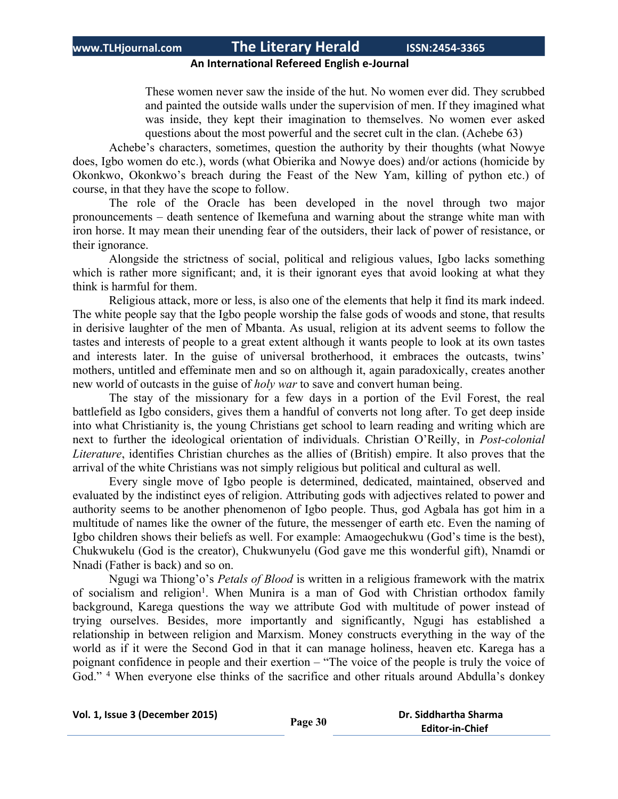### **An International Refereed English e-Journal**

These women never saw the inside of the hut. No women ever did. They scrubbed and painted the outside walls under the supervision of men. If they imagined what was inside, they kept their imagination to themselves. No women ever asked questions about the most powerful and the secret cult in the clan. (Achebe 63)

Achebe's characters, sometimes, question the authority by their thoughts (what Nowye does, Igbo women do etc.), words (what Obierika and Nowye does) and/or actions (homicide by Okonkwo, Okonkwo's breach during the Feast of the New Yam, killing of python etc.) of course, in that they have the scope to follow.

The role of the Oracle has been developed in the novel through two major pronouncements – death sentence of Ikemefuna and warning about the strange white man with iron horse. It may mean their unending fear of the outsiders, their lack of power of resistance, or their ignorance.

Alongside the strictness of social, political and religious values, Igbo lacks something which is rather more significant; and, it is their ignorant eyes that avoid looking at what they think is harmful for them.

Religious attack, more or less, is also one of the elements that help it find its mark indeed. The white people say that the Igbo people worship the false gods of woods and stone, that results in derisive laughter of the men of Mbanta. As usual, religion at its advent seems to follow the tastes and interests of people to a great extent although it wants people to look at its own tastes and interests later. In the guise of universal brotherhood, it embraces the outcasts, twins' mothers, untitled and effeminate men and so on although it, again paradoxically, creates another new world of outcasts in the guise of *holy war* to save and convert human being.

The stay of the missionary for a few days in a portion of the Evil Forest, the real battlefield as Igbo considers, gives them a handful of converts not long after. To get deep inside into what Christianity is, the young Christians get school to learn reading and writing which are next to further the ideological orientation of individuals. Christian O'Reilly, in *Post-colonial Literature*, identifies Christian churches as the allies of (British) empire. It also proves that the arrival of the white Christians was not simply religious but political and cultural as well.

Every single move of Igbo people is determined, dedicated, maintained, observed and evaluated by the indistinct eyes of religion. Attributing gods with adjectives related to power and authority seems to be another phenomenon of Igbo people. Thus, god Agbala has got him in a multitude of names like the owner of the future, the messenger of earth etc. Even the naming of Igbo children shows their beliefs as well. For example: Amaogechukwu (God's time is the best), Chukwukelu (God is the creator), Chukwunyelu (God gave me this wonderful gift), Nnamdi or Nnadi (Father is back) and so on.

Ngugi wa Thiong'o's *Petals of Blood* is written in a religious framework with the matrix of socialism and religion<sup>1</sup>. When Munira is a man of God with Christian orthodox family background, Karega questions the way we attribute God with multitude of power instead of trying ourselves. Besides, more importantly and significantly, Ngugi has established a relationship in between religion and Marxism. Money constructs everything in the way of the world as if it were the Second God in that it can manage holiness, heaven etc. Karega has a poignant confidence in people and their exertion – "The voice of the people is truly the voice of God." <sup>4</sup> When everyone else thinks of the sacrifice and other rituals around Abdulla's donkey

**Vol. 1, Issue <sup>3</sup> (December 2015) Page <sup>30</sup> Dr. Siddhartha Sharma**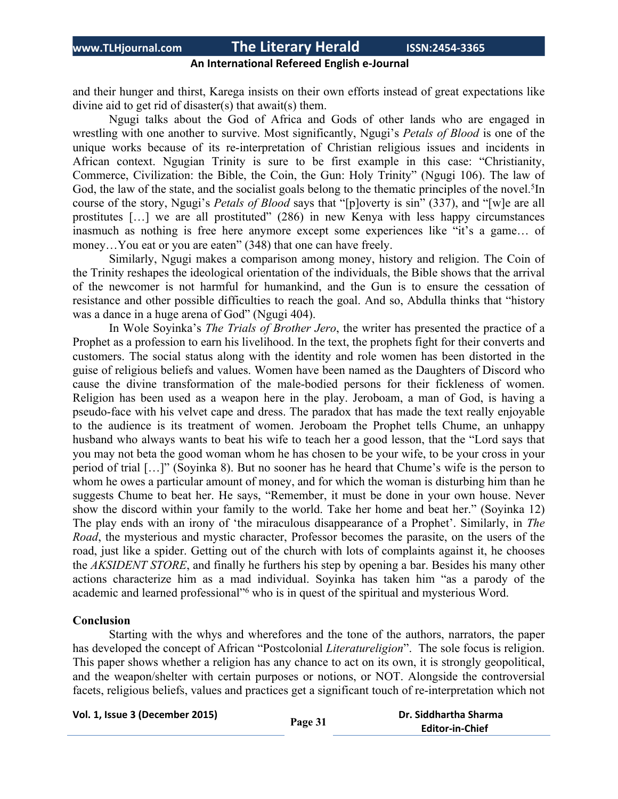### **An International Refereed English e-Journal**

and their hunger and thirst, Karega insists on their own efforts instead of great expectations like divine aid to get rid of disaster(s) that await(s) them.

Ngugi talks about the God of Africa and Gods of other lands who are engaged in wrestling with one another to survive. Most significantly, Ngugi's *Petals of Blood* is one of the unique works because of its re-interpretation of Christian religious issues and incidents in African context. Ngugian Trinity is sure to be first example in this case: "Christianity, Commerce, Civilization: the Bible, the Coin, the Gun: Holy Trinity" (Ngugi 106). The law of God, the law of the state, and the socialist goals belong to the thematic principles of the novel.<sup>5</sup>In course of the story, Ngugi's *Petals of Blood* says that "[p]overty is sin" (337), and "[w]e are all prostitutes […] we are all prostituted" (286) in new Kenya with less happy circumstances inasmuch as nothing is free here anymore except some experiences like "it's a game… of money...You eat or you are eaten" (348) that one can have freely.

Similarly, Ngugi makes a comparison among money, history and religion. The Coin of the Trinity reshapes the ideological orientation of the individuals, the Bible shows that the arrival of the newcomer is not harmful for humankind, and the Gun is to ensure the cessation of resistance and other possible difficulties to reach the goal. And so, Abdulla thinks that "history was a dance in a huge arena of God" (Ngugi 404).

In Wole Soyinka's *The Trials of Brother Jero*, the writer has presented the practice of a Prophet as a profession to earn his livelihood. In the text, the prophets fight for their converts and customers. The social status along with the identity and role women has been distorted in the guise of religious beliefs and values. Women have been named as the Daughters of Discord who cause the divine transformation of the male-bodied persons for their fickleness of women. Religion has been used as a weapon here in the play. Jeroboam, a man of God, is having a pseudo-face with his velvet cape and dress. The paradox that has made the text really enjoyable to the audience is its treatment of women. Jeroboam the Prophet tells Chume, an unhappy husband who always wants to beat his wife to teach her a good lesson, that the "Lord says that you may not beta the good woman whom he has chosen to be your wife, to be your cross in your period of trial […]" (Soyinka 8). But no sooner has he heard that Chume's wife is the person to whom he owes a particular amount of money, and for which the woman is disturbing him than he suggests Chume to beat her. He says, "Remember, it must be done in your own house. Never show the discord within your family to the world. Take her home and beat her." (Soyinka 12) The play ends with an irony of 'the miraculous disappearance of a Prophet'. Similarly, in *The Road*, the mysterious and mystic character, Professor becomes the parasite, on the users of the road, just like a spider. Getting out of the church with lots of complaints against it, he chooses the *AKSIDENT STORE*, and finally he furthers his step by opening a bar. Besides his many other actions characterize him as a mad individual. Soyinka has taken him "as a parody of the academic and learned professional"<sup>6</sup> who is in quest of the spiritual and mysterious Word.

### **Conclusion**

Starting with the whys and wherefores and the tone of the authors, narrators, the paper has developed the concept of African "Postcolonial *Literatureligion*". The sole focus is religion. This paper shows whether a religion has any chance to act on its own, it is strongly geopolitical, and the weapon/shelter with certain purposes or notions, or NOT. Alongside the controversial facets, religious beliefs, values and practices get a significant touch of re-interpretation which not

|  |  |  |  | Vol. 1, Issue 3 (December 2015) |  |  |  |
|--|--|--|--|---------------------------------|--|--|--|
|--|--|--|--|---------------------------------|--|--|--|

```
Vol. 1, Issue 3 (December 2015) Page 31 Dr. Siddhartha Sharma
                        Editor-in-Chief
```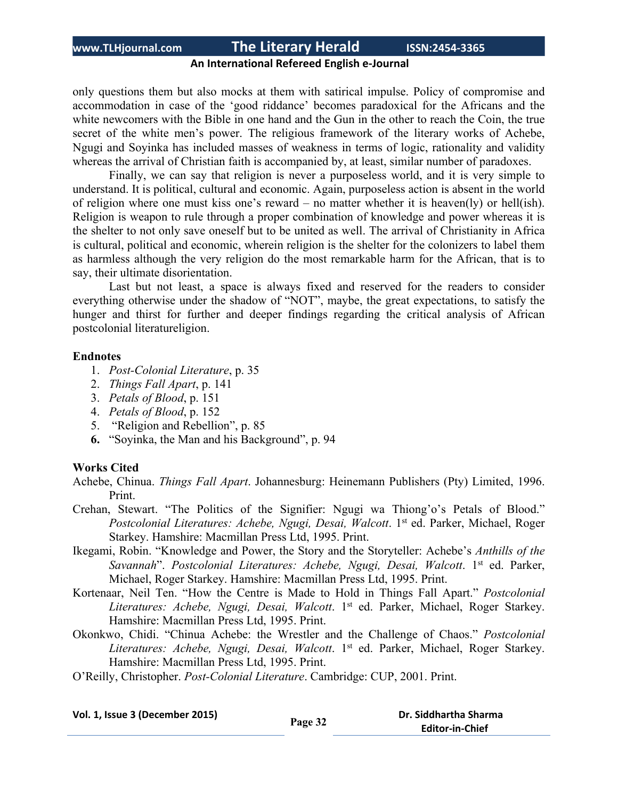### **An International Refereed English e-Journal**

only questions them but also mocks at them with satirical impulse. Policy of compromise and accommodation in case of the 'good riddance' becomes paradoxical for the Africans and the white newcomers with the Bible in one hand and the Gun in the other to reach the Coin, the true secret of the white men's power. The religious framework of the literary works of Achebe, Ngugi and Soyinka has included masses of weakness in terms of logic, rationality and validity whereas the arrival of Christian faith is accompanied by, at least, similar number of paradoxes.

Finally, we can say that religion is never a purposeless world, and it is very simple to understand. It is political, cultural and economic. Again, purposeless action is absent in the world of religion where one must kiss one's reward – no matter whether it is heaven(ly) or hell(ish). Religion is weapon to rule through a proper combination of knowledge and power whereas it is the shelter to not only save oneself but to be united as well. The arrival of Christianity in Africa is cultural, political and economic, wherein religion is the shelter for the colonizers to label them as harmless although the very religion do the most remarkable harm for the African, that is to say, their ultimate disorientation.

Last but not least, a space is always fixed and reserved for the readers to consider everything otherwise under the shadow of "NOT", maybe, the great expectations, to satisfy the hunger and thirst for further and deeper findings regarding the critical analysis of African postcolonial literatureligion.

#### **Endnotes**

- 1. *Post-Colonial Literature*, p. 35
- 2. *Things Fall Apart*, p. 141
- 3. *Petals of Blood*, p. 151
- 4. *Petals of Blood*, p. 152
- 5. "Religion and Rebellion", p. 85
- **6.** "Soyinka, the Man and his Background", p. 94

### **Works Cited**

- Achebe, Chinua. *Things Fall Apart*. Johannesburg: Heinemann Publishers (Pty) Limited, 1996. Print.
- Crehan, Stewart. "The Politics of the Signifier: Ngugi wa Thiong'o's Petals of Blood." *Postcolonial Literatures: Achebe, Ngugi, Desai, Walcott*. 1 st ed. Parker, Michael, Roger Starkey. Hamshire: Macmillan Press Ltd, 1995. Print.
- Ikegami, Robin. "Knowledge and Power, the Story and the Storyteller: Achebe's *Anthills of the Savannah*". *Postcolonial Literatures: Achebe, Ngugi, Desai, Walcott*. 1 st ed. Parker, Michael, Roger Starkey. Hamshire: Macmillan Press Ltd, 1995. Print.
- Kortenaar, Neil Ten. "How the Centre is Made to Hold in Things Fall Apart." *Postcolonial Literatures: Achebe, Ngugi, Desai, Walcott*. 1 st ed. Parker, Michael, Roger Starkey. Hamshire: Macmillan Press Ltd, 1995. Print.
- Okonkwo, Chidi. "Chinua Achebe: the Wrestler and the Challenge of Chaos." *Postcolonial Literatures: Achebe, Ngugi, Desai, Walcott*. 1 st ed. Parker, Michael, Roger Starkey. Hamshire: Macmillan Press Ltd, 1995. Print.
- O'Reilly, Christopher. *Post-Colonial Literature*. Cambridge: CUP, 2001. Print.

| Vol. 1, Issue 3 (December 2015) | Page 32 | Dr. Siddhartha Sharma  |  |  |
|---------------------------------|---------|------------------------|--|--|
|                                 |         | <b>Editor-in-Chief</b> |  |  |